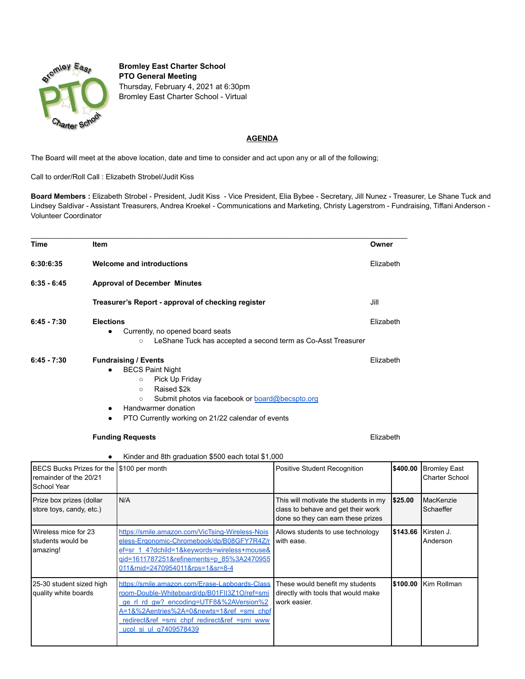

**Bromley East Charter School PTO General Meeting** Thursday, February 4, 2021 at 6:30pm Bromley East Charter School - Virtual

## **AGENDA**

The Board will meet at the above location, date and time to consider and act upon any or all of the following;

 $\mathcal{L}_\mathcal{L} = \mathcal{L}_\mathcal{L} = \mathcal{L}_\mathcal{L} = \mathcal{L}_\mathcal{L} = \mathcal{L}_\mathcal{L} = \mathcal{L}_\mathcal{L} = \mathcal{L}_\mathcal{L} = \mathcal{L}_\mathcal{L} = \mathcal{L}_\mathcal{L} = \mathcal{L}_\mathcal{L} = \mathcal{L}_\mathcal{L} = \mathcal{L}_\mathcal{L} = \mathcal{L}_\mathcal{L} = \mathcal{L}_\mathcal{L} = \mathcal{L}_\mathcal{L} = \mathcal{L}_\mathcal{L} = \mathcal{L}_\mathcal{L}$ 

Call to order/Roll Call : Elizabeth Strobel/Judit Kiss

**Board Members :** Elizabeth Strobel - President, Judit Kiss - Vice President, Elia Bybee - Secretary, Jill Nunez - Treasurer, Le Shane Tuck and Lindsey Saldivar - Assistant Treasurers, Andrea Kroekel - Communications and Marketing, Christy Lagerstrom - Fundraising, Tiffani Anderson - Volunteer Coordinator

| Time                                                                          | Item                                                                                                                                                                                                                                                                                     |                                                                                                                                                                                                                                                                  | Owner                                                                                                             |           |                                              |  |  |
|-------------------------------------------------------------------------------|------------------------------------------------------------------------------------------------------------------------------------------------------------------------------------------------------------------------------------------------------------------------------------------|------------------------------------------------------------------------------------------------------------------------------------------------------------------------------------------------------------------------------------------------------------------|-------------------------------------------------------------------------------------------------------------------|-----------|----------------------------------------------|--|--|
| 6:30:6:35                                                                     |                                                                                                                                                                                                                                                                                          | <b>Welcome and introductions</b>                                                                                                                                                                                                                                 |                                                                                                                   | Elizabeth |                                              |  |  |
| $6:35 - 6:45$                                                                 | <b>Approval of December Minutes</b>                                                                                                                                                                                                                                                      |                                                                                                                                                                                                                                                                  |                                                                                                                   |           |                                              |  |  |
|                                                                               | Treasurer's Report - approval of checking register                                                                                                                                                                                                                                       |                                                                                                                                                                                                                                                                  |                                                                                                                   | Jill      |                                              |  |  |
| $6:45 - 7:30$                                                                 | <b>Elections</b><br>$\bullet$                                                                                                                                                                                                                                                            | Currently, no opened board seats<br>LeShane Tuck has accepted a second term as Co-Asst Treasurer<br>$\circ$                                                                                                                                                      | Elizabeth                                                                                                         |           |                                              |  |  |
| $6:45 - 7:30$                                                                 | <b>Fundraising / Events</b><br>Elizabeth<br><b>BECS Paint Night</b><br>Pick Up Friday<br>$\circ$<br>Raised \$2k<br>$\circ$<br>Submit photos via facebook or <b>board@becspto.org</b><br>$\circ$<br>Handwarmer donation<br>$\bullet$<br>PTO Currently working on 21/22 calendar of events |                                                                                                                                                                                                                                                                  |                                                                                                                   |           |                                              |  |  |
| <b>Funding Requests</b><br>Kinder and 8th graduation \$500 each total \$1,000 |                                                                                                                                                                                                                                                                                          |                                                                                                                                                                                                                                                                  | Elizabeth                                                                                                         |           |                                              |  |  |
| <b>BECS Bucks Prizes for the</b><br>remainder of the 20/21<br>School Year     |                                                                                                                                                                                                                                                                                          | \$100 per month                                                                                                                                                                                                                                                  | Positive Student Recognition                                                                                      | \$400.00  | <b>Bromley East</b><br><b>Charter School</b> |  |  |
| Prize box prizes (dollar<br>store toys, candy, etc.)                          |                                                                                                                                                                                                                                                                                          | N/A                                                                                                                                                                                                                                                              | This will motivate the students in my<br>class to behave and get their work<br>done so they can earn these prizes | \$25.00   | MacKenzie<br>Schaeffer                       |  |  |
| Wireless mice for 23<br>students would be<br>amazing!                         |                                                                                                                                                                                                                                                                                          | https://smile.amazon.com/VicTsing-Wireless-Nois<br>eless-Ergonomic-Chromebook/dp/B08GFY7R4Z/r<br>ef=sr 1 4?dchild=1&keywords=wireless+mouse&<br>gid=1611787251&refinements=p 85%3A2470955<br>011&rnid=2470954011&rps=1&sr=8-4                                    | Allows students to use technology<br>with ease.                                                                   | \$143.66  | Kirsten J.<br>Anderson                       |  |  |
| 25-30 student sized high<br>quality white boards                              |                                                                                                                                                                                                                                                                                          | https://smile.amazon.com/Erase-Lapboards-Class<br>room-Double-Whiteboard/dp/B01FII3Z1O/ref=smi<br>ge rl rd gw? encoding=UTF8&%2AVersion%2<br>A=1&%2Aentries%2A=0&newts=1&ref =smi_chpf<br>redirect&ref =smi_chpf_redirect&ref =smi_www<br>ucol si ul a7409578439 | These would benefit my students<br>directly with tools that would make<br>work easier.                            | \$100.00  | Kim Rollman                                  |  |  |